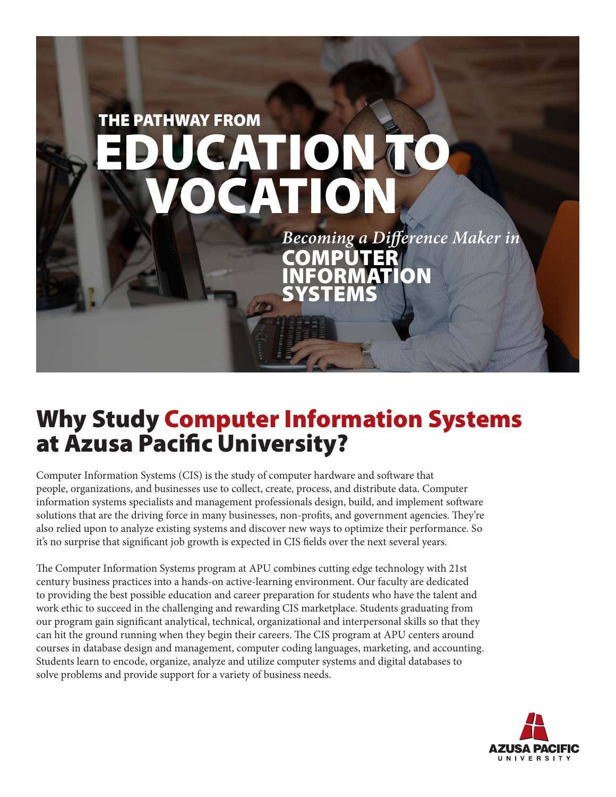

# Why Study Computer Information Systems at Azusa Pacific University?

Computer Information Systems (CIS) is the study of computer hardware and software that people, organizations, and businesses use to collect, create, process, and distribute data. Computer information systems specialists and management professionals design, build, and implement software solutions that are the driving force in many businesses, non-profits, and government agencies. They're also relied upon to analyze existing systems and discover new ways to optimize their performance. So it's no surprise that significant job growth is expected in CIS fields over the next several years.

The Computer Information Systems program at APU combines cutting edge technology with 21st century business practices into a hands-on active-learning environment. Our faculty are dedicated to providing the best possible education and career preparation for students who have the talent and work ethic to succeed in the challenging and rewarding CIS marketplace. Students graduating from our program gain significant analytical, technical, organizational and interpersonal skills so that they can hit the ground running when they begin their careers. The CIS program at APU centers around courses in database design and management, computer coding languages, marketing, and accounting. Students learn to encode, organize, analyze and utilize computer systems and digital databases to solve problems and provide support for a variety of business needs.

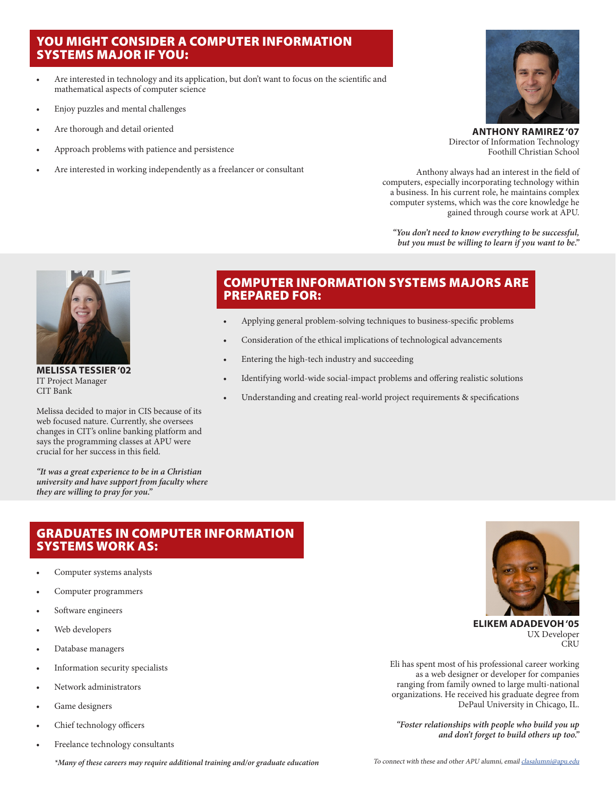### YOU MIGHT CONSIDER A COMPUTER INFORMATION SYSTEMS MAJOR IF YOU:

- Are interested in technology and its application, but don't want to focus on the scientific and mathematical aspects of computer science
- Enjoy puzzles and mental challenges
- Are thorough and detail oriented
- Approach problems with patience and persistence
- Are interested in working independently as a freelancer or consultant



**ANTHONY RAMIREZ '07** Director of Information Technology Foothill Christian School

Anthony always had an interest in the field of computers, especially incorporating technology within a business. In his current role, he maintains complex computer systems, which was the core knowledge he gained through course work at APU.

*"You don't need to know everything to be successful, but you must be willing to learn if you want to be."*



**MELISSA TESSIER '02** IT Project Manager CIT Bank

Melissa decided to major in CIS because of its web focused nature. Currently, she oversees changes in CIT's online banking platform and says the programming classes at APU were crucial for her success in this field.

*"It was a great experience to be in a Christian university and have support from faculty where they are willing to pray for you."*

### GRADUATES IN COMPUTER INFORMATION SYSTEMS WORK AS:

- Computer systems analysts
- Computer programmers
- Software engineers
- Web developers
- Database managers
- Information security specialists
- Network administrators
- Game designers
- Chief technology officers
- Freelance technology consultants

### COMPUTER INFORMATION SYSTEMS MAJORS ARE PREPARED FOR:

- Applying general problem-solving techniques to business-specific problems
- Consideration of the ethical implications of technological advancements
- Entering the high-tech industry and succeeding
- Identifying world-wide social-impact problems and offering realistic solutions
- Understanding and creating real-world project requirements & specifications



**ELIKEM ADADEVOH '05** UX Developer CRU

Eli has spent most of his professional career working as a web designer or developer for companies ranging from family owned to large multi-national organizations. He received his graduate degree from DePaul University in Chicago, IL.

*"Foster relationships with people who build you up and don't forget to build others up too."*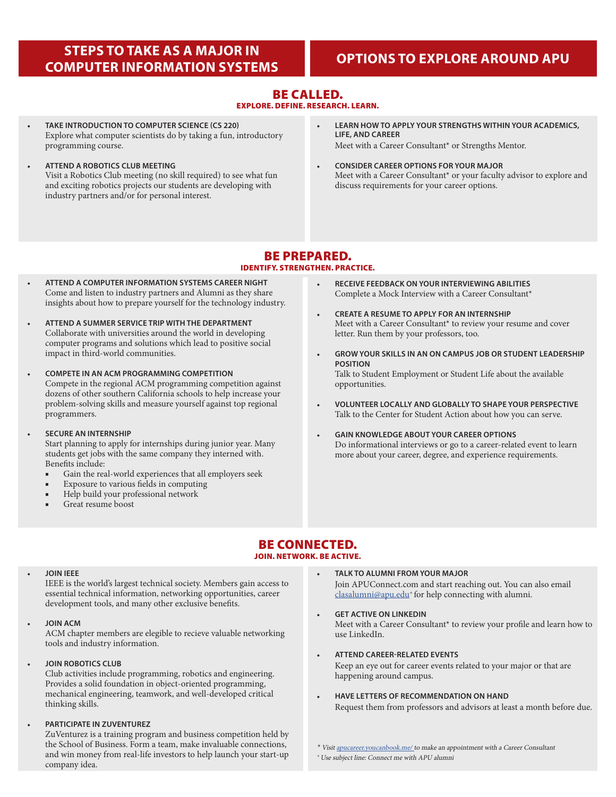### **STEPS TO TAKE AS A MAJOR IN COMPUTER INFORMATION SYSTEMS OPTIONS TO EXPLORE AROUND APU**

### BE CALLED.

EXPLORE. DEFINE. RESEARCH. LEARN.

- **TAKE INTRODUCTION TO COMPUTER SCIENCE (CS 220)** Explore what computer scientists do by taking a fun, introductory programming course.
- **ATTEND A ROBOTICS CLUB MEETING** Visit a Robotics Club meeting (no skill required) to see what fun and exciting robotics projects our students are developing with industry partners and/or for personal interest.
- **LEARN HOW TO APPLY YOUR STRENGTHS WITHIN YOUR ACADEMICS, LIFE, AND CAREER** Meet with a Career Consultant\* or Strengths Mentor.
- **CONSIDER CAREER OPTIONS FOR YOUR MAJOR** Meet with a Career Consultant\* or your faculty advisor to explore and discuss requirements for your career options.

### BE PREPARED. IDENTIFY. STRENGTHEN. PRACTICE.

- **ATTEND A COMPUTER INFORMATION SYSTEMS CAREER NIGHT** Come and listen to industry partners and Alumni as they share insights about how to prepare yourself for the technology industry.
- **ATTEND A SUMMER SERVICE TRIP WITH THE DEPARTMENT** Collaborate with universities around the world in developing computer programs and solutions which lead to positive social impact in third-world communities.
- **COMPETE IN AN ACM PROGRAMMING COMPETITION** Compete in the regional ACM programming competition against dozens of other southern California schools to help increase your problem-solving skills and measure yourself against top regional programmers.
- **SECURE AN INTERNSHIP**

Start planning to apply for internships during junior year. Many students get jobs with the same company they interned with. Benefits include:

- Gain the real-world experiences that all employers seek
- Exposure to various fields in computing
- Help build your professional network
- Great resume boost
- **RECEIVE FEEDBACK ON YOUR INTERVIEWING ABILITIES** Complete a Mock Interview with a Career Consultant\*
- **CREATE A RESUME TO APPLY FOR AN INTERNSHIP** Meet with a Career Consultant\* to review your resume and cover letter. Run them by your professors, too.
- **GROW YOUR SKILLS IN AN ON CAMPUS JOB OR STUDENT LEADERSHIP POSITION** Talk to Student Employment or Student Life about the available opportunities.
- **VOLUNTEER LOCALLY AND GLOBALLY TO SHAPE YOUR PERSPECTIVE** Talk to the Center for Student Action about how you can serve.
- **GAIN KNOWLEDGE ABOUT YOUR CAREER OPTIONS** Do informational interviews or go to a career-related event to learn more about your career, degree, and experience requirements.

## BE CONNECTED.

### JOIN. NETWORK. BE ACTIVE.

#### • **JOIN IEEE**

IEEE is the world's largest technical society. Members gain access to essential technical information, networking opportunities, career development tools, and many other exclusive benefits.

• **JOIN ACM**

ACM chapter members are elegible to recieve valuable networking tools and industry information.

• **JOIN ROBOTICS CLUB**

Club activities include programming, robotics and engineering. Provides a solid foundation in object-oriented programming, mechanical engineering, teamwork, and well-developed critical thinking skills.

• **PARTICIPATE IN ZUVENTUREZ**

ZuVenturez is a training program and business competition held by the School of Business. Form a team, make invaluable connections, and win money from real-life investors to help launch your start-up company idea.

- **TALK TO ALUMNI FROM YOUR MAJOR** Join APUConnect.com and start reaching out. You can also email [clasalumni@apu.edu](mailto:clasoffice%40apu.edu?subject=Connect%20me%20with%20APU%20alumni)<sup>+</sup> for help connecting with alumni.
- **GET ACTIVE ON LINKEDIN** Meet with a Career Consultant\* to review your profile and learn how to use LinkedIn.
- **ATTEND CAREER-RELATED EVENTS**

Keep an eye out for career events related to your major or that are happening around campus.

• **HAVE LETTERS OF RECOMMENDATION ON HAND** Request them from professors and advisors at least a month before due.

\* Visit [apucareer.youcanbook.me/ t](http://apucareer.youcanbook.me/)o make an appointment with a Career Consultant <sup>+</sup>Use subject line: Connect me with APU alumni